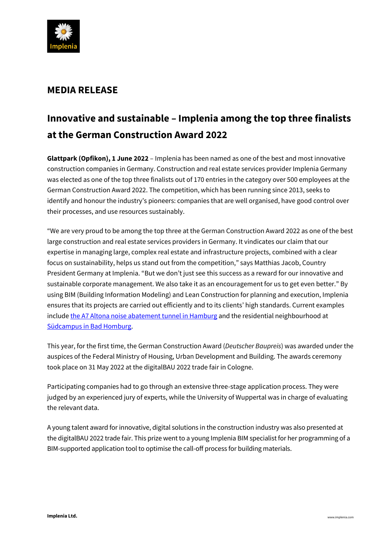

## **MEDIA RELEASE**

# **Innovative and sustainable – Implenia among the top three finalists at the German Construction Award 2022**

**Glattpark (Opfikon), 1 June 2022** – Implenia has been named as one of the best and most innovative construction companies in Germany. Construction and real estate services provider Implenia Germany was elected as one of the top three finalists out of 170 entries in the category over 500 employees at the German Construction Award 2022. The competition, which has been running since 2013, seeks to identify and honour the industry's pioneers: companies that are well organised, have good control over their processes, and use resources sustainably.

"We are very proud to be among the top three at the German Construction Award 2022 as one of the best large construction and real estate services providers in Germany. It vindicates our claim that our expertise in managing large, complex real estate and infrastructure projects, combined with a clear focus on sustainability, helps us stand out from the competition," says Matthias Jacob, Country President Germany at Implenia. "But we don't just see this success as a reward for our innovative and sustainable corporate management. We also take it as an encouragement for us to get even better." By using BIM (Building Information Modeling) and Lean Construction for planning and execution, Implenia ensures that its projects are carried out efficiently and to its clients' high standards. Current examples include [the A7 Altona noise abatement tunnel in Hamburg](https://implenia.com/en/references/detail/ref/laermschutztunnel-a7-hamburg-altona/) and the residential neighbourhood at [Südcampus in Bad Homburg.](https://implenia.com/en/references/detail/ref/wohnquartier-am-suedcampus/)

This year, for the first time, the German Construction Award (*Deutscher Baupreis*) was awarded under the auspices of the Federal Ministry of Housing, Urban Development and Building. The awards ceremony took place on 31 May 2022 at the digitalBAU 2022 trade fair in Cologne.

Participating companies had to go through an extensive three-stage application process. They were judged by an experienced jury of experts, while the University of Wuppertal was in charge of evaluating the relevant data.

A young talent award for innovative, digital solutions in the construction industry was also presented at the digitalBAU 2022 trade fair. This prize went to a young Implenia BIM specialist for her programming of a BIM-supported application tool to optimise the call-off process for building materials.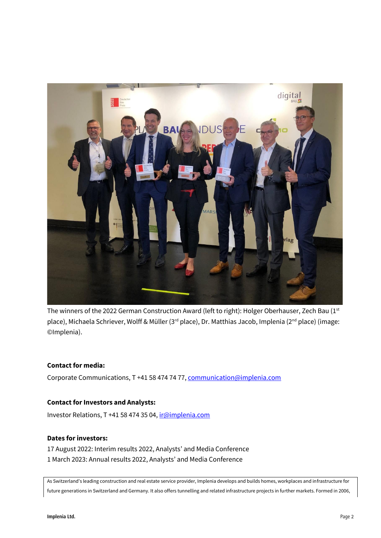

The winners of the 2022 German Construction Award (left to right): Holger Oberhauser, Zech Bau (1st place), Michaela Schriever, Wolff & Müller (3<sup>rd</sup> place), Dr. Matthias Jacob, Implenia (2<sup>nd</sup> place) (image: ©Implenia).

#### **Contact for media:**

Corporate Communications, T +41 58 474 74 77[, communication@implenia.com](mailto:communication@implenia.com)

#### **Contact for Investors and Analysts:**

Investor Relations, T +41 58 474 35 04, [ir@implenia.com](mailto:ir@implenia.com)

### **Dates for investors:**

17 August 2022: Interim results 2022, Analysts' and Media Conference 1 March 2023: Annual results 2022, Analysts' and Media Conference

As Switzerland's leading construction and real estate service provider, Implenia develops and builds homes, workplaces and infrastructure for future generations in Switzerland and Germany. It also offers tunnelling and related infrastructure projects in further markets. Formed in 2006,